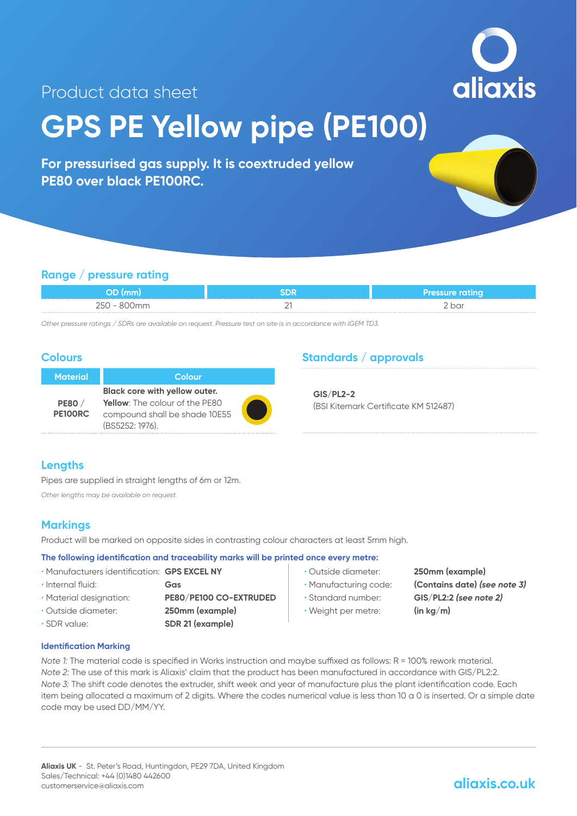

# Product data sheet

# **GPS PE Yellow pipe (PE100)**

**For pressurised gas supply. It is coextruded yellow PE80 over black PE100RC.**

## **Range / pressure rating**

|                          |   | <b>Pressure rating</b> |
|--------------------------|---|------------------------|
| $\overline{\phantom{0}}$ | - | 2 bar                  |

*Other pressure ratings / SDRs are available on request. Pressure test on site is in accordance with IGEM TD3.*

### **Colours**

| <b>Material</b> | Colour                                |  |
|-----------------|---------------------------------------|--|
|                 | Black core with yellow outer.         |  |
| <b>PE80</b> /   | <b>Yellow:</b> The colour of the PE80 |  |
| PE100RC         | compound shall be shade 10E55         |  |
|                 | (BS5252: 1976).                       |  |

## **Standards / approvals**

**GIS/PL2-2** (BSI Kitemark Certificate KM 512487)

### **Lengths**

Pipes are supplied in straight lengths of 6m or 12m.

*Other lengths may be available on request.*

## **Markings**

Product will be marked on opposite sides in contrasting colour characters at least 5mm high.

#### **The following identification and traceability marks will be printed once every metre:**

| • Manufacturers identification: GPS EXCEL NY |                        |
|----------------------------------------------|------------------------|
| · Internal fluid:                            | Gas                    |
| • Material designation:                      | PE80/PE100 CO-EXTRUDED |
| • Outside diameter:                          | 250mm (example)        |
| · SDR value:                                 | SDR 21 (example)       |

- Outside diameter: **250mm (example)**
- 
- 
- Weight per metre: **(in kg/m)**

• Manufacturing code: **(Contains date)** *(see note 3)* • Standard number: **GIS/PL2:2** *(see note 2)*

**Identification Marking**

*Note 1:* The material code is specified in Works instruction and maybe suffixed as follows: R = 100% rework material. *Note 2:* The use of this mark is Aliaxis' claim that the product has been manufactured in accordance with GIS/PL2:2. *Note 3:* The shift code denotes the extruder, shift week and year of manufacture plus the plant identification code. Each item being allocated a maximum of 2 digits. Where the codes numerical value is less than 10 a 0 is inserted. Or a simple date code may be used DD/MM/YY.

# **aliaxis.co.uk**